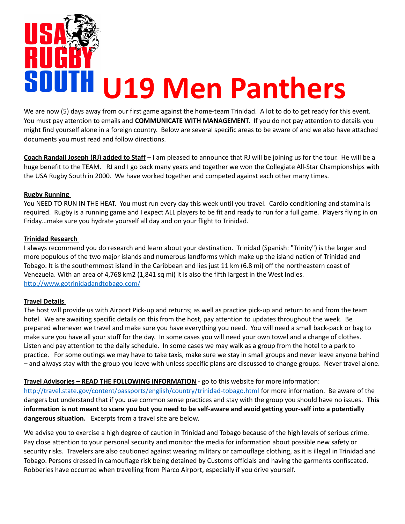

We are now (5) days away from our first game against the home-team Trinidad. A lot to do to get ready for this event. You must pay attention to emails and **COMMUNICATE WITH MANAGEMENT**. If you do not pay attention to details you might find yourself alone in a foreign country. Below are several specific areas to be aware of and we also have attached documents you must read and follow directions.

**Coach Randall Joseph (RJ) added to Staff** – I am pleased to announce that RJ will be joining us for the tour. He will be a huge benefit to the TEAM. RJ and I go back many years and together we won the Collegiate All-Star Championships with the USA Rugby South in 2000. We have worked together and competed against each other many times.

# **Rugby Running**

You NEED TO RUN IN THE HEAT. You must run every day this week until you travel. Cardio conditioning and stamina is required. Rugby is a running game and I expect ALL players to be fit and ready to run for a full game. Players flying in on Friday…make sure you hydrate yourself all day and on your flight to Trinidad.

## **Trinidad Research**

I always recommend you do research and learn about your destination. Trinidad (Spanish: "Trinity") is the larger and more populous of the two major islands and numerous landforms which make up the island nation of Trinidad and Tobago. It is the southernmost island in the Caribbean and lies just 11 km (6.8 mi) off the northeastern coast of Venezuela. With an area of 4,768 km2 (1,841 sq mi) it is also the fifth largest in the West Indies. <http://www.gotrinidadandtobago.com/>

## **Travel Details**

The host will provide us with Airport Pick-up and returns; as well as practice pick-up and return to and from the team hotel. We are awaiting specific details on this from the host, pay attention to updates throughout the week. Be prepared whenever we travel and make sure you have everything you need. You will need a small back-pack or bag to make sure you have all your stuff for the day. In some cases you will need your own towel and a change of clothes. Listen and pay attention to the daily schedule. In some cases we may walk as a group from the hotel to a park to practice. For some outings we may have to take taxis, make sure we stay in small groups and never leave anyone behind – and always stay with the group you leave with unless specific plans are discussed to change groups. Never travel alone.

**Travel Advisories – READ THE FOLLOWING INFORMATION** - go to this website for more information:

<http://travel.state.gov/content/passports/english/country/trinidad-tobago.html>for more information. Be aware of the dangers but understand that if you use common sense practices and stay with the group you should have no issues. **This information is not meant to scare you but you need to be self-aware and avoid getting your-self into a potentially dangerous situation.** Excerpts from a travel site are below.

We advise you to exercise a high degree of caution in Trinidad and Tobago because of the high levels of serious crime. Pay close attention to your personal security and monitor the media for information about possible new safety or security risks. Travelers are also cautioned against wearing military or camouflage clothing, as it is illegal in Trinidad and Tobago. Persons dressed in camouflage risk being detained by Customs officials and having the garments confiscated. Robberies have occurred when travelling from Piarco Airport, especially if you drive yourself.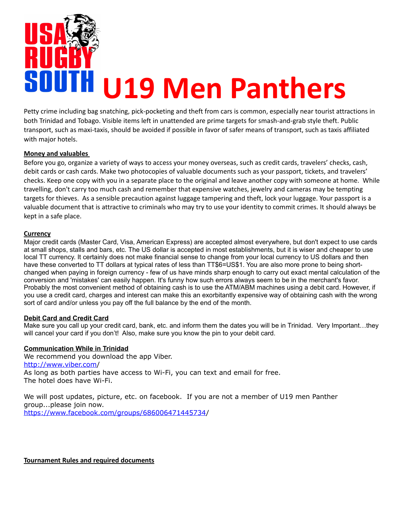

Petty crime including bag snatching, pick-pocketing and theft from cars is common, especially near tourist attractions in both Trinidad and Tobago. Visible items left in unattended are prime targets for smash-and-grab style theft. Public transport, such as maxi-taxis, should be avoided if possible in favor of safer means of transport, such as taxis affiliated with major hotels.

#### **Money and valuables**

Before you go, organize a variety of ways to access your money overseas, such as credit cards, travelers' checks, cash, debit cards or cash cards. Make two photocopies of valuable documents such as your passport, tickets, and travelers' checks. Keep one copy with you in a separate place to the original and leave another copy with someone at home. While travelling, don't carry too much cash and remember that expensive watches, jewelry and cameras may be tempting targets for thieves. As a sensible precaution against luggage tampering and theft, lock your luggage. Your passport is a valuable document that is attractive to criminals who may try to use your identity to commit crimes. It should always be kept in a safe place.

#### **Currency**

Major credit cards (Master Card, Visa, American Express) are accepted almost everywhere, but don't expect to use cards at small shops, stalls and bars, etc. The US dollar is accepted in most establishments, but it is wiser and cheaper to use local TT currency. It certainly does not make financial sense to change from your local currency to US dollars and then have these converted to TT dollars at typical rates of less than TT\$6=US\$1. You are also more prone to being shortchanged when paying in foreign currency - few of us have minds sharp enough to carry out exact mental calculation of the conversion and 'mistakes' can easily happen. It's funny how such errors always seem to be in the merchant's favor. Probably the most convenient method of obtaining cash is to use the ATM/ABM machines using a debit card. However, if you use a credit card, charges and interest can make this an exorbitantly expensive way of obtaining cash with the wrong sort of card and/or unless you pay off the full balance by the end of the month.

## **Debit Card and Credit Card**

Make sure you call up your credit card, bank, etc. and inform them the dates you will be in Trinidad. Very Important…they will cancel your card if you don't! Also, make sure you know the pin to your debit card.

#### **Communication While in Trinidad**

We recommend you download the app Viber. <http://www.viber.com/> As long as both parties have access to Wi-Fi, you can text and email for free. The hotel does have Wi-Fi.

We will post updates, picture, etc. on facebook. If you are not a member of U19 men Panther group...please join now. [https://www.facebook.com/groups/686006471445734/](https://www.facebook.com/groups/686006471445734)

**Tournament Rules and required documents**